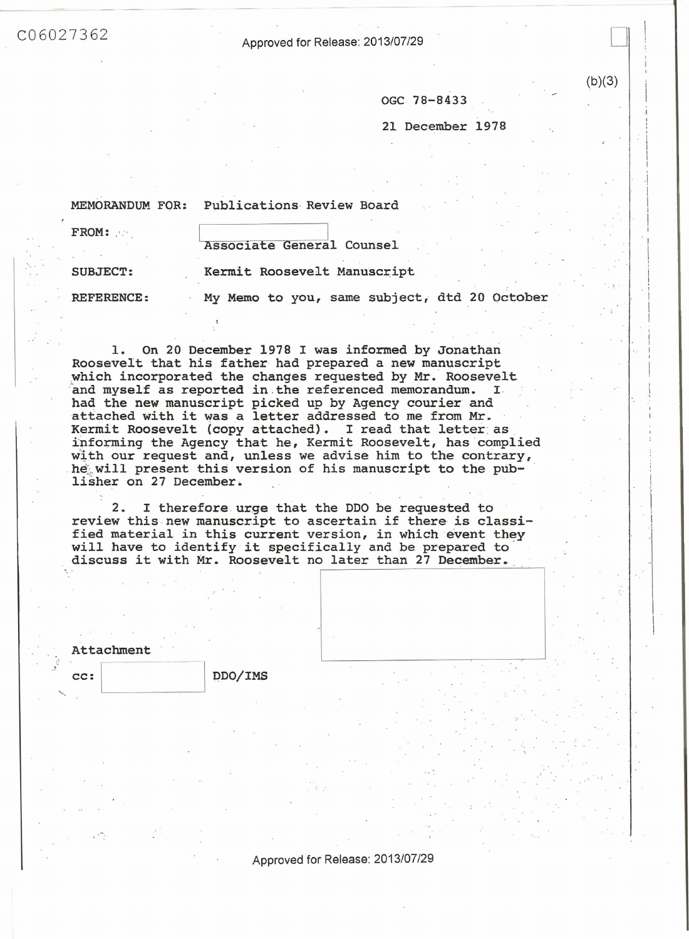-------==-- - --

C06027362 Approved for Release: 2013/07/29

OGC 78-8433

21 December 1978

D

I I  $\sim$ I

> '  $\frac{1}{2}$ i I i '

 $(b)(3)$ 

MEMORANDUM FOR: Publications Review Board

| FROM:             | Associate General Counsel                    |  |
|-------------------|----------------------------------------------|--|
| <b>SUBJECT:</b>   | Kermit Roosevelt Manuscript                  |  |
| <b>REFERENCE:</b> | My Memo to you, same subject, dtd 20 October |  |

1. On 20 December 1978 I was informed by Jonathan Roosevelt that his father had prepared a new manuscript which incorporated the changes requested by Mr. Roosevelt and myself as reported in the referenced memorandum. I had the new manuscript picked up by Agency courier and attached with it was a letter addressed to me from Mr.<br>Kermit Roosevelt (copy attached). I read that letter as informing the Agency that he, Kermit Roosevelt, has complied with our request and, unless we advise him to the contrary, he will present this version of his manuscript to the pub-<br>lisher on 27 December.

2. I therefore urge that the DDO be requested to review this-new manuscript to ascertain if there is classified material in this current version, in which event they will have to identify it specifically and be prepared to discuss it with Mr. Roosevelt no later than 27 December.

| Attachment |         |  |
|------------|---------|--|
| CC:        | DDO/IMS |  |
|            |         |  |

Approved for Release: 2013/07/29